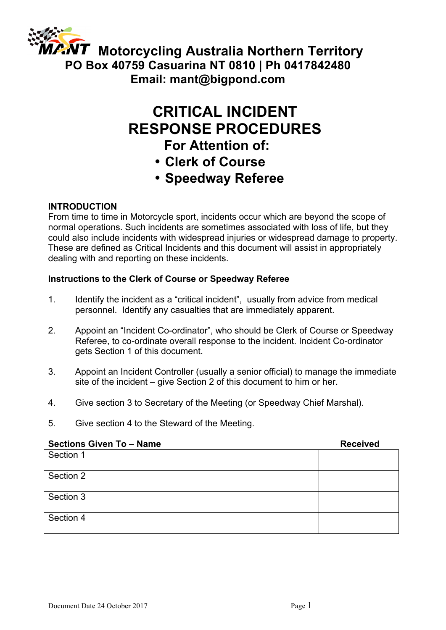

# **CRITICAL INCIDENT RESPONSE PROCEDURES**

### **For Attention of:**

- **Clerk of Course**
- **Speedway Referee**

### **INTRODUCTION**

From time to time in Motorcycle sport, incidents occur which are beyond the scope of normal operations. Such incidents are sometimes associated with loss of life, but they could also include incidents with widespread injuries or widespread damage to property. These are defined as Critical Incidents and this document will assist in appropriately dealing with and reporting on these incidents.

### **Instructions to the Clerk of Course or Speedway Referee**

- 1. Identify the incident as a "critical incident", usually from advice from medical personnel. Identify any casualties that are immediately apparent.
- 2. Appoint an "Incident Co-ordinator", who should be Clerk of Course or Speedway Referee, to co-ordinate overall response to the incident. Incident Co-ordinator gets Section 1 of this document.
- 3. Appoint an Incident Controller (usually a senior official) to manage the immediate site of the incident – give Section 2 of this document to him or her.
- 4. Give section 3 to Secretary of the Meeting (or Speedway Chief Marshal).
- 5. Give section 4 to the Steward of the Meeting.

| <b>Sections Given To - Name</b> | <b>Received</b> |
|---------------------------------|-----------------|
| Section 1                       |                 |
| Section 2                       |                 |
| Section 3                       |                 |
| Section 4                       |                 |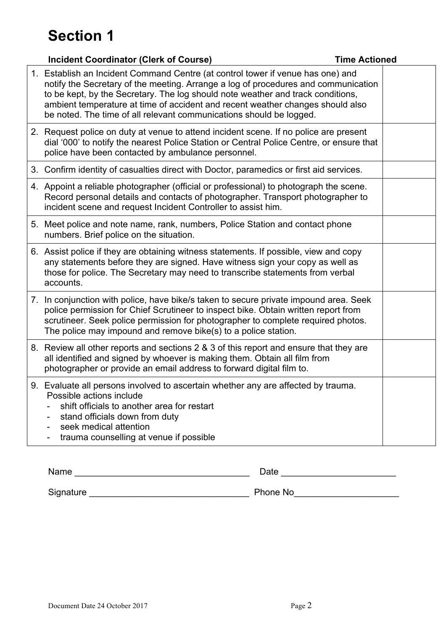| <b>Incident Coordinator (Clerk of Course)</b>                                                                                                                                                                                                                                                                                                                                                                     | <b>Time Actioned</b> |
|-------------------------------------------------------------------------------------------------------------------------------------------------------------------------------------------------------------------------------------------------------------------------------------------------------------------------------------------------------------------------------------------------------------------|----------------------|
| 1. Establish an Incident Command Centre (at control tower if venue has one) and<br>notify the Secretary of the meeting. Arrange a log of procedures and communication<br>to be kept, by the Secretary. The log should note weather and track conditions,<br>ambient temperature at time of accident and recent weather changes should also<br>be noted. The time of all relevant communications should be logged. |                      |
| 2. Request police on duty at venue to attend incident scene. If no police are present<br>dial '000' to notify the nearest Police Station or Central Police Centre, or ensure that<br>police have been contacted by ambulance personnel.                                                                                                                                                                           |                      |
| 3. Confirm identity of casualties direct with Doctor, paramedics or first aid services.                                                                                                                                                                                                                                                                                                                           |                      |
| 4. Appoint a reliable photographer (official or professional) to photograph the scene.<br>Record personal details and contacts of photographer. Transport photographer to<br>incident scene and request Incident Controller to assist him.                                                                                                                                                                        |                      |
| 5. Meet police and note name, rank, numbers, Police Station and contact phone<br>numbers. Brief police on the situation.                                                                                                                                                                                                                                                                                          |                      |
| 6. Assist police if they are obtaining witness statements. If possible, view and copy<br>any statements before they are signed. Have witness sign your copy as well as<br>those for police. The Secretary may need to transcribe statements from verbal<br>accounts.                                                                                                                                              |                      |
| 7. In conjunction with police, have bike/s taken to secure private impound area. Seek<br>police permission for Chief Scrutineer to inspect bike. Obtain written report from<br>scrutineer. Seek police permission for photographer to complete required photos.<br>The police may impound and remove bike(s) to a police station.                                                                                 |                      |
| 8. Review all other reports and sections 2 & 3 of this report and ensure that they are<br>all identified and signed by whoever is making them. Obtain all film from<br>photographer or provide an email address to forward digital film to.                                                                                                                                                                       |                      |
| 9. Evaluate all persons involved to ascertain whether any are affected by trauma.<br>Possible actions include<br>shift officials to another area for restart<br>stand officials down from duty<br>seek medical attention<br>trauma counselling at venue if possible                                                                                                                                               |                      |

Name \_\_\_\_\_\_\_\_\_\_\_\_\_\_\_\_\_\_\_\_\_\_\_\_\_\_\_\_\_\_\_\_\_\_\_ Date \_\_\_\_\_\_\_\_\_\_\_\_\_\_\_\_\_\_\_\_\_\_\_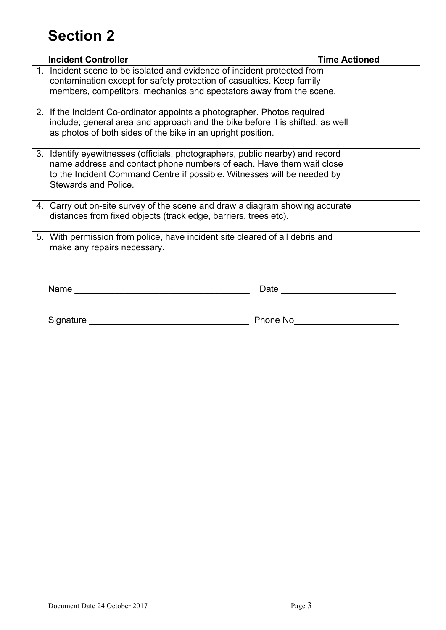| <b>Incident Controller</b>                                                                                                                                                                                                                               | <b>Time Actioned</b> |
|----------------------------------------------------------------------------------------------------------------------------------------------------------------------------------------------------------------------------------------------------------|----------------------|
| 1. Incident scene to be isolated and evidence of incident protected from<br>contamination except for safety protection of casualties. Keep family<br>members, competitors, mechanics and spectators away from the scene.                                 |                      |
| 2. If the Incident Co-ordinator appoints a photographer. Photos required<br>include; general area and approach and the bike before it is shifted, as well<br>as photos of both sides of the bike in an upright position.                                 |                      |
| 3. Identify eyewitnesses (officials, photographers, public nearby) and record<br>name address and contact phone numbers of each. Have them wait close<br>to the Incident Command Centre if possible. Witnesses will be needed by<br>Stewards and Police. |                      |
| 4. Carry out on-site survey of the scene and draw a diagram showing accurate<br>distances from fixed objects (track edge, barriers, trees etc).                                                                                                          |                      |
| 5. With permission from police, have incident site cleared of all debris and<br>make any repairs necessary.                                                                                                                                              |                      |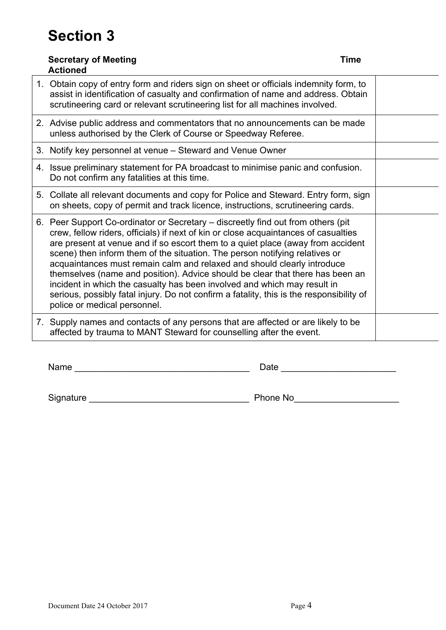| <b>Secretary of Meeting</b><br><b>Actioned</b>                                                                                                                                                                                                                                                                                                                                                                                                                                                                                                                                                                                                                                                                | Time |
|---------------------------------------------------------------------------------------------------------------------------------------------------------------------------------------------------------------------------------------------------------------------------------------------------------------------------------------------------------------------------------------------------------------------------------------------------------------------------------------------------------------------------------------------------------------------------------------------------------------------------------------------------------------------------------------------------------------|------|
| 1. Obtain copy of entry form and riders sign on sheet or officials indemnity form, to<br>assist in identification of casualty and confirmation of name and address. Obtain<br>scrutineering card or relevant scrutineering list for all machines involved.                                                                                                                                                                                                                                                                                                                                                                                                                                                    |      |
| 2. Advise public address and commentators that no announcements can be made<br>unless authorised by the Clerk of Course or Speedway Referee.                                                                                                                                                                                                                                                                                                                                                                                                                                                                                                                                                                  |      |
| 3. Notify key personnel at venue - Steward and Venue Owner                                                                                                                                                                                                                                                                                                                                                                                                                                                                                                                                                                                                                                                    |      |
| 4. Issue preliminary statement for PA broadcast to minimise panic and confusion.<br>Do not confirm any fatalities at this time.                                                                                                                                                                                                                                                                                                                                                                                                                                                                                                                                                                               |      |
| 5. Collate all relevant documents and copy for Police and Steward. Entry form, sign<br>on sheets, copy of permit and track licence, instructions, scrutineering cards.                                                                                                                                                                                                                                                                                                                                                                                                                                                                                                                                        |      |
| 6. Peer Support Co-ordinator or Secretary – discreetly find out from others (pit<br>crew, fellow riders, officials) if next of kin or close acquaintances of casualties<br>are present at venue and if so escort them to a quiet place (away from accident<br>scene) then inform them of the situation. The person notifying relatives or<br>acquaintances must remain calm and relaxed and should clearly introduce<br>themselves (name and position). Advice should be clear that there has been an<br>incident in which the casualty has been involved and which may result in<br>serious, possibly fatal injury. Do not confirm a fatality, this is the responsibility of<br>police or medical personnel. |      |
| 7. Supply names and contacts of any persons that are affected or are likely to be<br>affected by trauma to MANT Steward for counselling after the event.                                                                                                                                                                                                                                                                                                                                                                                                                                                                                                                                                      |      |

Name \_\_\_\_\_\_\_\_\_\_\_\_\_\_\_\_\_\_\_\_\_\_\_\_\_\_\_\_\_\_\_\_\_\_\_ Date \_\_\_\_\_\_\_\_\_\_\_\_\_\_\_\_\_\_\_\_\_\_\_